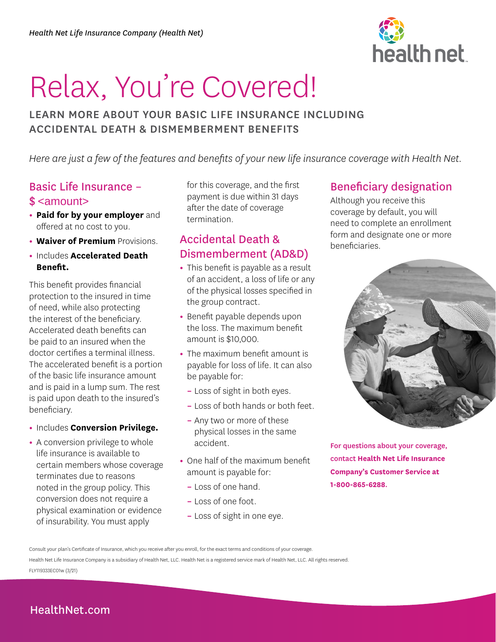

# Relax, You're Covered!

# LEARN MORE ABOUT YOUR BASIC LIFE INSURANCE INCLUDING ACCIDENTAL DEATH & DISMEMBERMENT BENEFITS

*Here are just a few of the features and benefits of your new life insurance coverage with Health Net.* 

# Basic Life Insurance – \$ <amount>

- **Paid for by your employer** and offered at no cost to you.
- **Waiver of Premium** Provisions.
- Includes **Accelerated Death Benefit.**

This benefit provides financial protection to the insured in time of need, while also protecting the interest of the beneficiary. Accelerated death benefits can be paid to an insured when the doctor certifies a terminal illness. The accelerated benefit is a portion of the basic life insurance amount and is paid in a lump sum. The rest is paid upon death to the insured's beneficiary.

- Includes **Conversion Privilege.**
- A conversion privilege to whole life insurance is available to certain members whose coverage terminates due to reasons noted in the group policy. This conversion does not require a physical examination or evidence of insurability. You must apply

for this coverage, and the first payment is due within 31 days after the date of coverage termination.

# Accidental Death & Dismemberment (AD&D)

- This benefit is payable as a result of an accident, a loss of life or any of the physical losses specified in the group contract.
- Benefit payable depends upon the loss. The maximum benefit amount is \$10,000.
- The maximum benefit amount is payable for loss of life. It can also be payable for:
	- Loss of sight in both eyes.
	- Loss of both hands or both feet.
	- Any two or more of these physical losses in the same accident.
- One half of the maximum benefit amount is payable for:
	- Loss of one hand.
	- Loss of one foot.
	- Loss of sight in one eye.

# Beneficiary designation

Although you receive this coverage by default, you will need to complete an enrollment form and designate one or more beneficiaries.



 **Company's Customer Service at**  For questions about your coverage, contact **Health Net Life Insurance 1-800-865-6288**.

Health Net Life Insurance Company is a subsidiary of Health Net, LLC. Health Net is a registered service mark of Health Net, LLC. All rights reserved. FLY119333EC01w (3/21)

# [HealthNet.com](http://Healthnet.com)

Consult your plan's Certificate of Insurance, which you receive after you enroll, for the exact terms and conditions of your coverage.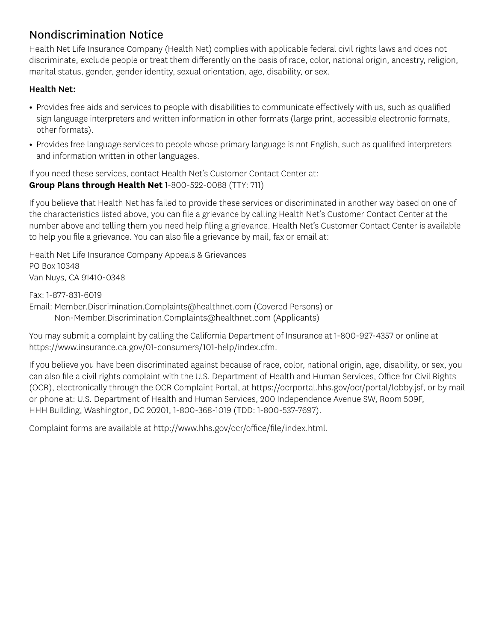# Nondiscrimination Notice

Health Net Life Insurance Company (Health Net) complies with applicable federal civil rights laws and does not discriminate, exclude people or treat them differently on the basis of race, color, national origin, ancestry, religion, marital status, gender, gender identity, sexual orientation, age, disability, or sex.

#### Health Net:

- Provides free aids and services to people with disabilities to communicate effectively with us, such as qualified sign language interpreters and written information in other formats (large print, accessible electronic formats, other formats).
- Provides free language services to people whose primary language is not English, such as qualified interpreters and information written in other languages.

If you need these services, contact Health Net's Customer Contact Center at: **Group Plans through Health Net** 1-800-522-0088 (TTY: 711)

If you believe that Health Net has failed to provide these services or discriminated in another way based on one of the characteristics listed above, you can file a grievance by calling Health Net's Customer Contact Center at the number above and telling them you need help filing a grievance. Health Net's Customer Contact Center is available to help you file a grievance. You can also file a grievance by mail, fax or email at:

Health Net Life Insurance Company Appeals & Grievances PO Box 10348 Van Nuys, CA 91410-0348

Fax: 1-877-831-6019

Email: Member.Discrimination.Complaints@healthnet.com (Covered Persons) or

Non-Member.Discrimination.Complaints@healthnet.com (Applicants)

You may submit a complaint by calling the California Department of Insurance at 1-800-927-4357 or online at https://www.insurance.ca.gov/01-consumers/101-help/index.cfm.

If you believe you have been discriminated against because of race, color, national origin, age, disability, or sex, you can also file a civil rights complaint with the U.S. Department of Health and Human Services, Office for Civil Rights (OCR), electronically through the OCR Complaint Portal, at https://ocrportal.hhs.gov/ocr/portal/lobby.jsf, or by mail or phone at: U.S. Department of Health and Human Services, 200 Independence Avenue SW, Room 509F, HHH Building, Washington, DC 20201, 1-800-368-1019 (TDD: 1-800-537-7697).

Complaint forms are available at http://www.hhs.gov/ocr/office/file/index.html.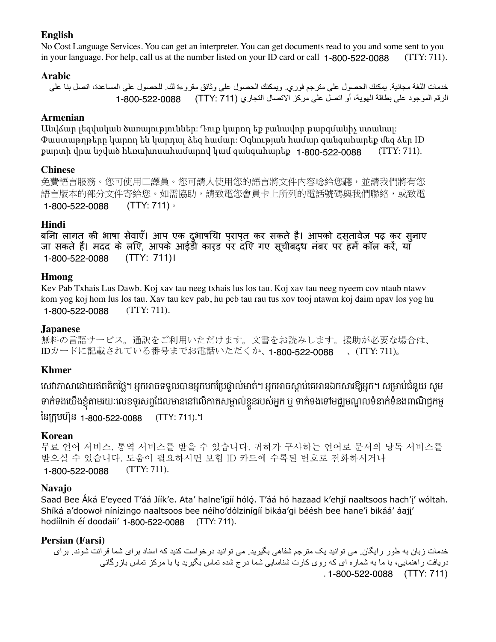#### **English**

No Cost Language Services. You can get an interpreter. You can get documents read to you and some sent to you in your language. For help, call us at the number listed on your ID card or call 1-800-522-0088 (TTY: 711).

#### **Arabic**

خدمات اللغة مجانية. يمكنك الحصول على مترجم فوري. ويمكنك الحصول على وثائق مقروءة لك. للحصول على المساعدة، اتصل بنا على الرقم الموجود على بطاقة الهوية، أو اتصل على مركز االتصال التجاري (711 :TTY ( 1-800-522-0088

#### **Armenian**

Անվճար լեզվական ծառայություններ: Դուք կարող եք բանավոր թարգմանիչ ստանալ: Փաստաթղթերը կարող են կարդալ ձեզ համար: Օգնության համար զանգահարեք մեզ ձեր ID քարտի վրա նշված հեռախոսահամարով կամ զանգահարեք 1-800-522-0088 (TTY: 711).

# **Chinese**

免費語言服務。您可使用口譯員。您可請人使用您的語言將文件內容唸給您聽,並請我們將有您 語言版本的部分文件寄給您。如需協助,請致電您會員卡上所列的電話號碼與我們聯絡,或致電 (TTY: 711)。 1-800-522-0088

#### **Hindi**

बिना लागत की भाषा सेवाएँ। आप एक दुभाषिया प्राप्त कर सकते हैं। आपको दस्तावेज पढ़ कर सुनाए जा सकते हैं। मदद के लिए, आपके आईडी कार्ड पर दिए गए सूचीबद्ध नंबर पर हमें कॉल करें, या (TTY: 711)। 1-800-522-0088

#### **Hmong**

Kev Pab Txhais Lus Dawb. Koj xav tau neeg txhais lus los tau. Koj xav tau neeg nyeem cov ntaub ntawv kom yog koj hom lus los tau. Xav tau kev pab, hu peb tau rau tus xov tooj ntawm koj daim npav los yog hu (TTY: 711). 1-800-522-0088

# **Japanese**

無料の言語サービス。通訳をご利用いただけます。文書をお読みします。援助が必要な場合は、 IDカードに記載されている番号までお電話いただくか、**1-800-522-0088** 、(TTY: 711)。

# **Khmer**

សេវាភាសាដោយឥតគតថ្លេ។ អ្នកអាចទទួលបានអ្នកបកប្រេថ្នាលមាត។ អ្នកអាចស្តាប់គេអានឯកសារឱ្យអ្នក។ សម្រាបជំនួយ សូម មាកមងយេងខ្ញុំតាមរយៈបេខមូរសព្វដេលមាននោបេកាតសម្គាល់ខ្លួនរបស់អ្នក ឬ មាកមងទោមជ្ឈមណ្ឌលទនាក់ទនងពាណិជ្ជកម្ម នេក្រុមហុន <sub>1-800-522-0088</sub> (TTY: 711).។

# **Korean**

무료 언어 서비스. 통역 서비스를 받을 수 있습니다. 귀하가 구사하는 언어로 문서의 낭독 서비스를 받으실 수 있습니다. 도움이 필요하시면 보험 ID 카드에 수록된 번호로 전화하시거나 (TTY: 711). 1-800-522-0088

# **Navajo**

Saad Bee Áká E'eyeed T'áá Jíík'e. Ata' halne'ígíí hóló. T'áá hó hazaad k'ehjí naaltsoos hach'j' wóltah. Shíká a'doowoł nínízingo naaltsoos bee néího'dólzinígíí bikáa'gi béésh bee hane'í bikáá' áaji' hodíílnih éí doodaii' 1-800-522-0088 (TTY: 711).

# **Persian (Farsi)**

خدمات زبان به طور رايگان. می توانيد يک مترجم شفاهی بگيريد. می توانيد درخواست کنيد که اسناد برای شما قرائت شوند. برای دريافت راهنمايي، با ما به شماره اي كه روي كارت شناسايي شما درج شده تماس بگيريد يا با مركز تماس بازرگاني . (TTY: 711) 1-800-522-0088